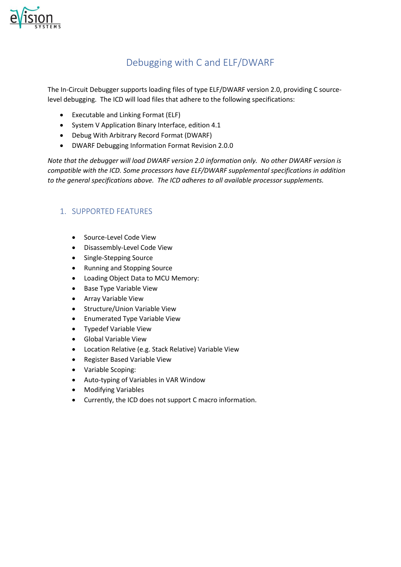

# Debugging with C and ELF/DWARF

The In-Circuit Debugger supports loading files of type ELF/DWARF version 2.0, providing C sourcelevel debugging. The ICD will load files that adhere to the following specifications:

- Executable and Linking Format (ELF)
- System V Application Binary Interface, edition 4.1
- Debug With Arbitrary Record Format (DWARF)
- DWARF Debugging Information Format Revision 2.0.0

*Note that the debugger will load DWARF version 2.0 information only. No other DWARF version is compatible with the ICD. Some processors have ELF/DWARF supplemental specifications in addition to the general specifications above. The ICD adheres to all available processor supplements.*

## 1. SUPPORTED FEATURES

- Source-Level Code View
- Disassembly-Level Code View
- Single-Stepping Source
- Running and Stopping Source
- Loading Object Data to MCU Memory:
- Base Type Variable View
- Array Variable View
- Structure/Union Variable View
- Enumerated Type Variable View
- Typedef Variable View
- Global Variable View
- Location Relative (e.g. Stack Relative) Variable View
- Register Based Variable View
- Variable Scoping:
- Auto-typing of Variables in VAR Window
- Modifying Variables
- Currently, the ICD does not support C macro information.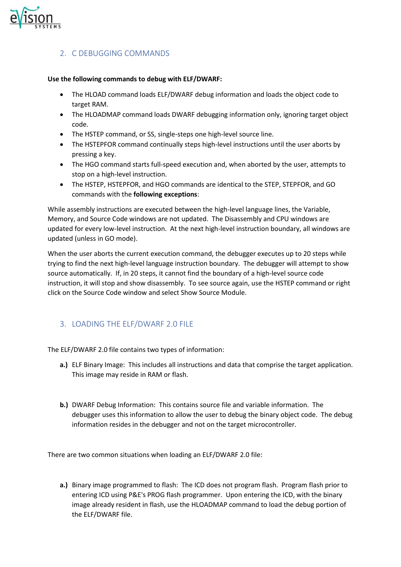

#### 2. C DEBUGGING COMMANDS

#### **Use the following commands to debug with ELF/DWARF:**

- The HLOAD command loads ELF/DWARF debug information and loads the object code to target RAM.
- The HLOADMAP command loads DWARF debugging information only, ignoring target object code.
- The HSTEP command, or SS, single-steps one high-level source line.
- The HSTEPFOR command continually steps high-level instructions until the user aborts by pressing a key.
- The HGO command starts full-speed execution and, when aborted by the user, attempts to stop on a high-level instruction.
- The HSTEP, HSTEPFOR, and HGO commands are identical to the STEP, STEPFOR, and GO commands with the **following exceptions**:

While assembly instructions are executed between the high-level language lines, the Variable, Memory, and Source Code windows are not updated. The Disassembly and CPU windows are updated for every low-level instruction. At the next high-level instruction boundary, all windows are updated (unless in GO mode).

When the user aborts the current execution command, the debugger executes up to 20 steps while trying to find the next high-level language instruction boundary. The debugger will attempt to show source automatically. If, in 20 steps, it cannot find the boundary of a high-level source code instruction, it will stop and show disassembly. To see source again, use the HSTEP command or right click on the Source Code window and select Show Source Module.

#### 3. LOADING THE ELF/DWARF 2.0 FILE

The ELF/DWARF 2.0 file contains two types of information:

- **a.)** ELF Binary Image: This includes all instructions and data that comprise the target application. This image may reside in RAM or flash.
- **b.)** DWARF Debug Information: This contains source file and variable information. The debugger uses this information to allow the user to debug the binary object code. The debug information resides in the debugger and not on the target microcontroller.

There are two common situations when loading an ELF/DWARF 2.0 file:

**a.)** Binary image programmed to flash: The ICD does not program flash. Program flash prior to entering ICD using P&E's PROG flash programmer. Upon entering the ICD, with the binary image already resident in flash, use the HLOADMAP command to load the debug portion of the ELF/DWARF file.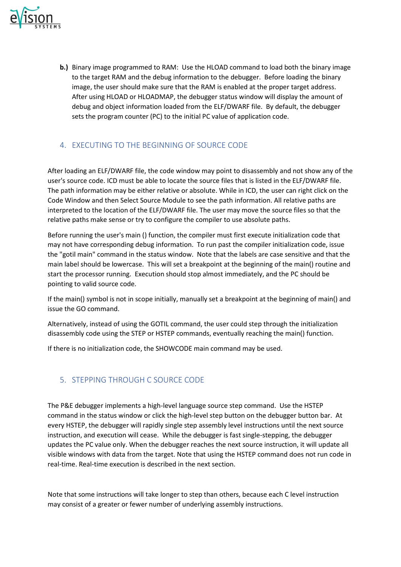

**b.)** Binary image programmed to RAM: Use the HLOAD command to load both the binary image to the target RAM and the debug information to the debugger. Before loading the binary image, the user should make sure that the RAM is enabled at the proper target address. After using HLOAD or HLOADMAP, the debugger status window will display the amount of debug and object information loaded from the ELF/DWARF file. By default, the debugger sets the program counter (PC) to the initial PC value of application code.

#### 4. EXECUTING TO THE BEGINNING OF SOURCE CODE

After loading an ELF/DWARF file, the code window may point to disassembly and not show any of the user's source code. ICD must be able to locate the source files that is listed in the ELF/DWARF file. The path information may be either relative or absolute. While in ICD, the user can right click on the Code Window and then Select Source Module to see the path information. All relative paths are interpreted to the location of the ELF/DWARF file. The user may move the source files so that the relative paths make sense or try to configure the compiler to use absolute paths.

Before running the user's main () function, the compiler must first execute initialization code that may not have corresponding debug information. To run past the compiler initialization code, issue the "gotil main" command in the status window. Note that the labels are case sensitive and that the main label should be lowercase. This will set a breakpoint at the beginning of the main() routine and start the processor running. Execution should stop almost immediately, and the PC should be pointing to valid source code.

If the main() symbol is not in scope initially, manually set a breakpoint at the beginning of main() and issue the GO command.

Alternatively, instead of using the GOTIL command, the user could step through the initialization disassembly code using the STEP or HSTEP commands, eventually reaching the main() function.

If there is no initialization code, the SHOWCODE main command may be used.

#### 5. STEPPING THROUGH C SOURCE CODE

The P&E debugger implements a high-level language source step command. Use the HSTEP command in the status window or click the high-level step button on the debugger button bar. At every HSTEP, the debugger will rapidly single step assembly level instructions until the next source instruction, and execution will cease. While the debugger is fast single-stepping, the debugger updates the PC value only. When the debugger reaches the next source instruction, it will update all visible windows with data from the target. Note that using the HSTEP command does not run code in real-time. Real-time execution is described in the next section.

Note that some instructions will take longer to step than others, because each C level instruction may consist of a greater or fewer number of underlying assembly instructions.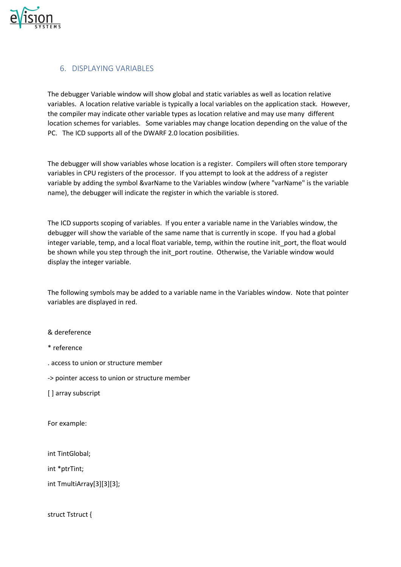

#### 6. DISPLAYING VARIABLES

The debugger Variable window will show global and static variables as well as location relative variables. A location relative variable is typically a local variables on the application stack. However, the compiler may indicate other variable types as location relative and may use many different location schemes for variables. Some variables may change location depending on the value of the PC. The ICD supports all of the DWARF 2.0 location posibilities.

The debugger will show variables whose location is a register. Compilers will often store temporary variables in CPU registers of the processor. If you attempt to look at the address of a register variable by adding the symbol &varName to the Variables window (where "varName" is the variable name), the debugger will indicate the register in which the variable is stored.

The ICD supports scoping of variables. If you enter a variable name in the Variables window, the debugger will show the variable of the same name that is currently in scope. If you had a global integer variable, temp, and a local float variable, temp, within the routine init port, the float would be shown while you step through the init\_port routine. Otherwise, the Variable window would display the integer variable.

The following symbols may be added to a variable name in the Variables window. Note that pointer variables are displayed in red.

& dereference

\* reference

. access to union or structure member

-> pointer access to union or structure member

[ ] array subscript

For example:

int TintGlobal;

int \*ptrTint;

int TmultiArray[3][3][3];

struct Tstruct {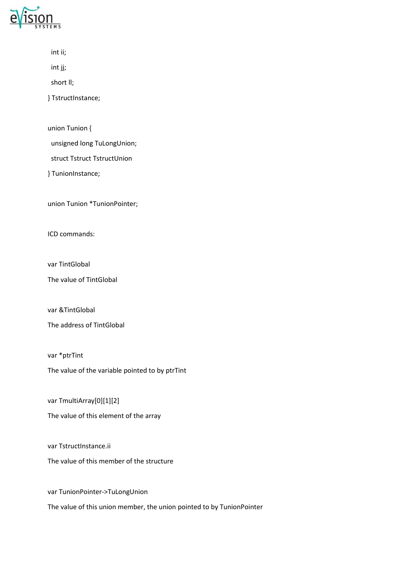

| ×<br>۰. |  |
|---------|--|
|         |  |

int jj;

short ll;

} TstructInstance;

union Tunion {

unsigned long TuLongUnion;

struct Tstruct TstructUnion

} TunionInstance;

union Tunion \*TunionPointer;

ICD commands:

var TintGlobal

The value of TintGlobal

var &TintGlobal

The address of TintGlobal

var \*ptrTint The value of the variable pointed to by ptrTint

var TmultiArray[0][1][2]

The value of this element of the array

var TstructInstance.ii The value of this member of the structure

var TunionPointer->TuLongUnion The value of this union member, the union pointed to by TunionPointer